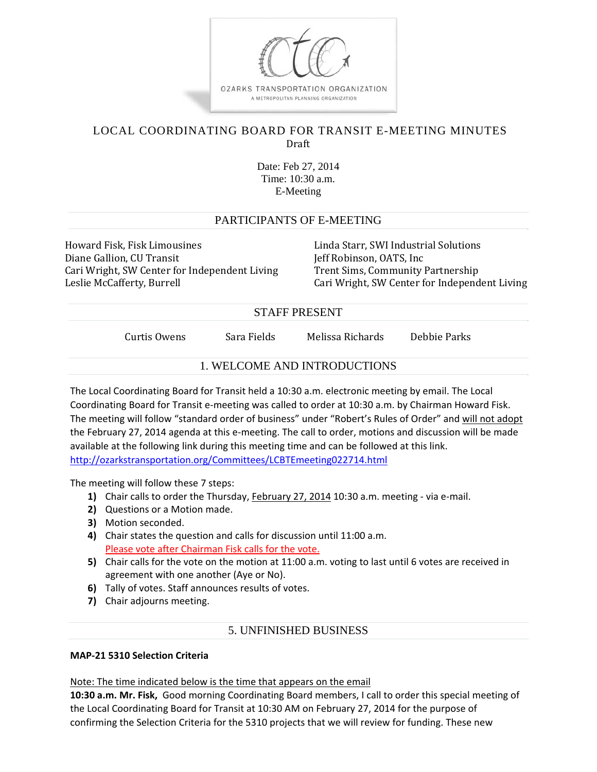

# LOCAL COORDINATING BOARD FOR TRANSIT E-MEETING MINUTES Draft

Date: Feb 27, 2014 Time: 10:30 a.m. E-Meeting

## PARTICIPANTS OF E-MEETING

Howard Fisk, Fisk Limousines The Manushines Linda Starr, SWI Industrial Solutions Diane Gallion, CU Transit **Jeff** Robinson, OATS, Inc Cari Wright, SW Center for Independent Living Trent Sims, Community Partnership

Leslie McCafferty, Burrell **Cari Million Cari** Cari Wright, SW Center for Independent Living

## STAFF PRESENT

Curtis Owens Sara Fields Melissa Richards Debbie Parks

## 1. WELCOME AND INTRODUCTIONS

The Local Coordinating Board for Transit held a 10:30 a.m. electronic meeting by email. The Local Coordinating Board for Transit e‐meeting was called to order at 10:30 a.m. by Chairman Howard Fisk. The meeting will follow "standard order of business" under "Robert's Rules of Order" and will not adopt the February 27, 2014 agenda at this e-meeting. The call to order, motions and discussion will be made available at the following link during this meeting time and can be followed at this link. http://ozarkstransportation.org/Committees/LCBTEmeeting022714.html

The meeting will follow these 7 steps:

- **1)** Chair calls to order the Thursday, February 27, 2014 10:30 a.m. meeting ‐ via e‐mail.
- **2)** Questions or a Motion made.
- **3)** Motion seconded.
- **4)** Chair states the question and calls for discussion until 11:00 a.m. Please vote after Chairman Fisk calls for the vote.
- **5)** Chair calls for the vote on the motion at 11:00 a.m. voting to last until 6 votes are received in agreement with one another (Aye or No).
- **6)** Tally of votes. Staff announces results of votes.
- **7)** Chair adjourns meeting.

## 5. UNFINISHED BUSINESS

#### **MAP‐21 5310 Selection Criteria**

Note: The time indicated below is the time that appears on the email

**10:30 a.m. Mr. Fisk,** Good morning Coordinating Board members, I call to order this special meeting of the Local Coordinating Board for Transit at 10:30 AM on February 27, 2014 for the purpose of confirming the Selection Criteria for the 5310 projects that we will review for funding. These new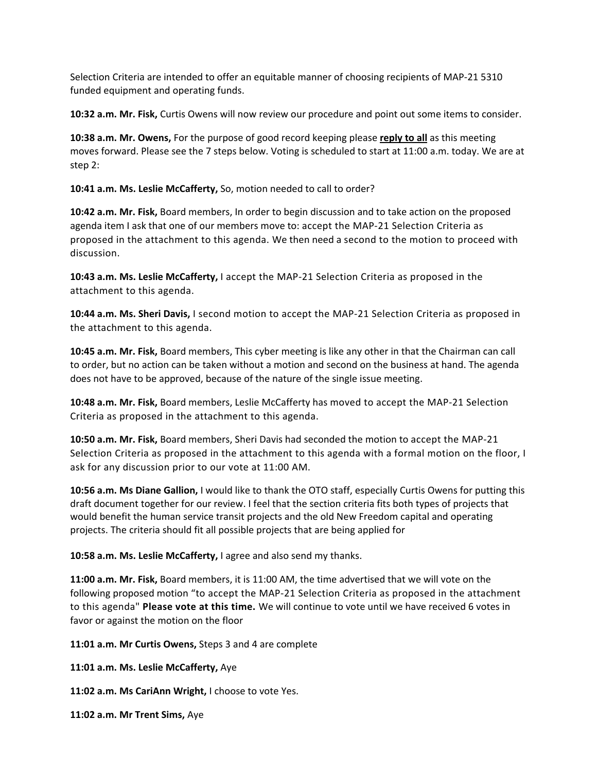Selection Criteria are intended to offer an equitable manner of choosing recipients of MAP‐21 5310 funded equipment and operating funds.

**10:32 a.m. Mr. Fisk,** Curtis Owens will now review our procedure and point out some items to consider.

**10:38 a.m. Mr. Owens,** For the purpose of good record keeping please **reply to all** as this meeting moves forward. Please see the 7 steps below. Voting is scheduled to start at 11:00 a.m. today. We are at step 2:

**10:41 a.m. Ms. Leslie McCafferty,** So, motion needed to call to order?

**10:42 a.m. Mr. Fisk,** Board members, In order to begin discussion and to take action on the proposed agenda item I ask that one of our members move to: accept the MAP‐21 Selection Criteria as proposed in the attachment to this agenda. We then need a second to the motion to proceed with discussion.

**10:43 a.m. Ms. Leslie McCafferty,** I accept the MAP‐21 Selection Criteria as proposed in the attachment to this agenda.

**10:44 a.m. Ms. Sheri Davis,** I second motion to accept the MAP‐21 Selection Criteria as proposed in the attachment to this agenda.

**10:45 a.m. Mr. Fisk,** Board members, This cyber meeting is like any other in that the Chairman can call to order, but no action can be taken without a motion and second on the business at hand. The agenda does not have to be approved, because of the nature of the single issue meeting.

**10:48 a.m. Mr. Fisk,** Board members, Leslie McCafferty has moved to accept the MAP‐21 Selection Criteria as proposed in the attachment to this agenda.

**10:50 a.m. Mr. Fisk,** Board members, Sheri Davis had seconded the motion to accept the MAP‐21 Selection Criteria as proposed in the attachment to this agenda with a formal motion on the floor, I ask for any discussion prior to our vote at 11:00 AM.

**10:56 a.m. Ms Diane Gallion,** I would like to thank the OTO staff, especially Curtis Owens for putting this draft document together for our review. I feel that the section criteria fits both types of projects that would benefit the human service transit projects and the old New Freedom capital and operating projects. The criteria should fit all possible projects that are being applied for

**10:58 a.m. Ms. Leslie McCafferty,** I agree and also send my thanks.

**11:00 a.m. Mr. Fisk,** Board members, it is 11:00 AM, the time advertised that we will vote on the following proposed motion "to accept the MAP‐21 Selection Criteria as proposed in the attachment to this agenda" **Please vote at this time.** We will continue to vote until we have received 6 votes in favor or against the motion on the floor

**11:01 a.m. Mr Curtis Owens,** Steps 3 and 4 are complete

**11:01 a.m. Ms. Leslie McCafferty,** Aye

**11:02 a.m. Ms CariAnn Wright,** I choose to vote Yes.

**11:02 a.m. Mr Trent Sims,** Aye